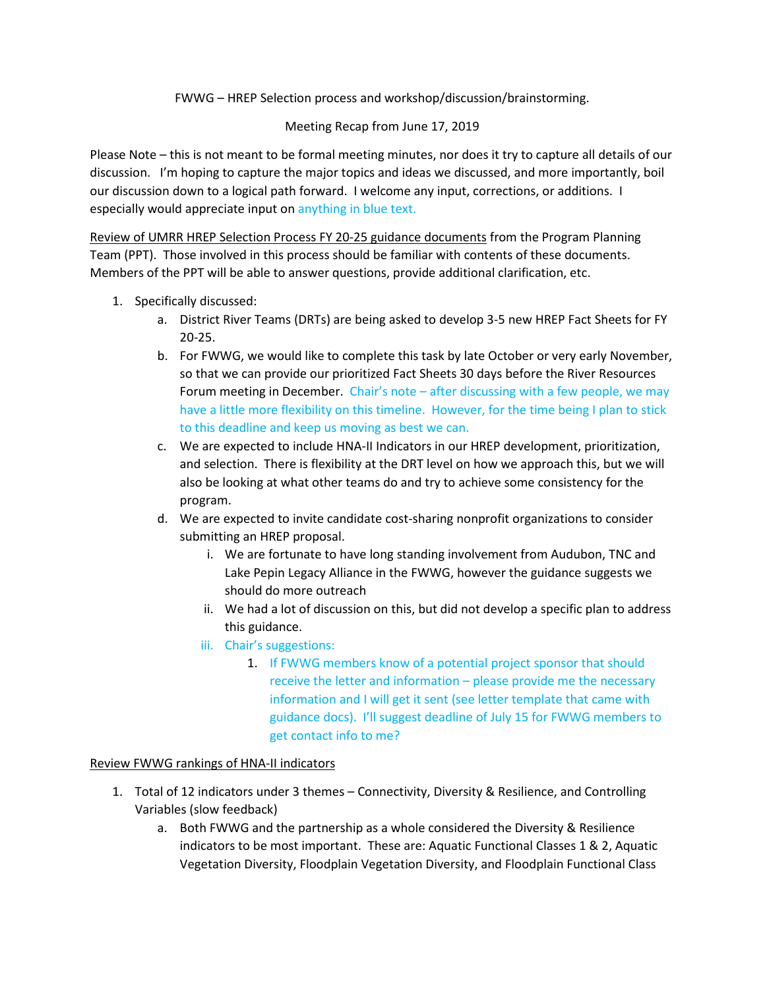## FWWG – HREP Selection process and workshop/discussion/brainstorming.

### Meeting Recap from June 17, 2019

Please Note – this is not meant to be formal meeting minutes, nor does it try to capture all details of our discussion. I'm hoping to capture the major topics and ideas we discussed, and more importantly, boil our discussion down to a logical path forward. I welcome any input, corrections, or additions. I especially would appreciate input on anything in blue text.

Review of UMRR HREP Selection Process FY 20-25 guidance documents from the Program Planning Team (PPT). Those involved in this process should be familiar with contents of these documents. Members of the PPT will be able to answer questions, provide additional clarification, etc.

- 1. Specifically discussed:
	- a. District River Teams (DRTs) are being asked to develop 3-5 new HREP Fact Sheets for FY 20-25.
	- b. For FWWG, we would like to complete this task by late October or very early November, so that we can provide our prioritized Fact Sheets 30 days before the River Resources Forum meeting in December. Chair's note – after discussing with a few people, we may have a little more flexibility on this timeline. However, for the time being I plan to stick to this deadline and keep us moving as best we can.
	- c. We are expected to include HNA-II Indicators in our HREP development, prioritization, and selection. There is flexibility at the DRT level on how we approach this, but we will also be looking at what other teams do and try to achieve some consistency for the program.
	- d. We are expected to invite candidate cost-sharing nonprofit organizations to consider submitting an HREP proposal.
		- i. We are fortunate to have long standing involvement from Audubon, TNC and Lake Pepin Legacy Alliance in the FWWG, however the guidance suggests we should do more outreach
		- ii. We had a lot of discussion on this, but did not develop a specific plan to address this guidance.
		- iii. Chair's suggestions:
			- 1. If FWWG members know of a potential project sponsor that should receive the letter and information – please provide me the necessary information and I will get it sent (see letter template that came with guidance docs). I'll suggest deadline of July 15 for FWWG members to get contact info to me?

#### Review FWWG rankings of HNA-II indicators

- 1. Total of 12 indicators under 3 themes Connectivity, Diversity & Resilience, and Controlling Variables (slow feedback)
	- a. Both FWWG and the partnership as a whole considered the Diversity & Resilience indicators to be most important. These are: Aquatic Functional Classes 1 & 2, Aquatic Vegetation Diversity, Floodplain Vegetation Diversity, and Floodplain Functional Class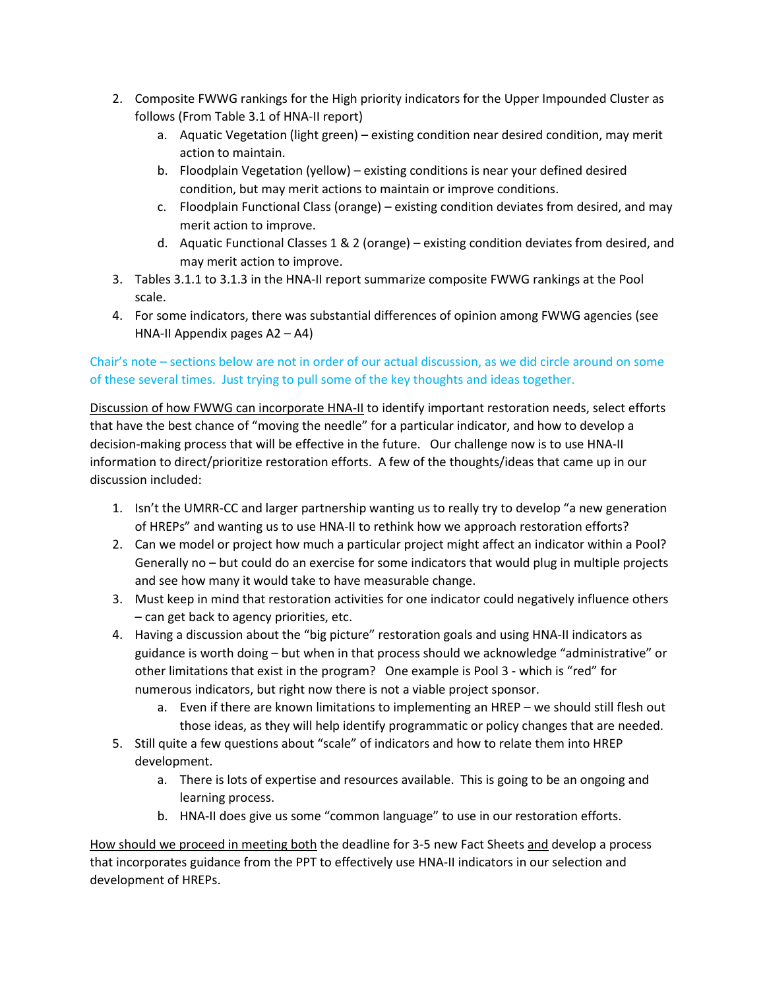- 2. Composite FWWG rankings for the High priority indicators for the Upper Impounded Cluster as follows (From Table 3.1 of HNA-II report)
	- a. Aquatic Vegetation (light green) existing condition near desired condition, may merit action to maintain.
	- b. Floodplain Vegetation (yellow) existing conditions is near your defined desired condition, but may merit actions to maintain or improve conditions.
	- c. Floodplain Functional Class (orange) existing condition deviates from desired, and may merit action to improve.
	- d. Aquatic Functional Classes 1 & 2 (orange) existing condition deviates from desired, and may merit action to improve.
- 3. Tables 3.1.1 to 3.1.3 in the HNA-II report summarize composite FWWG rankings at the Pool scale.
- 4. For some indicators, there was substantial differences of opinion among FWWG agencies (see HNA-II Appendix pages A2 – A4)

# Chair's note – sections below are not in order of our actual discussion, as we did circle around on some of these several times. Just trying to pull some of the key thoughts and ideas together.

Discussion of how FWWG can incorporate HNA-II to identify important restoration needs, select efforts that have the best chance of "moving the needle" for a particular indicator, and how to develop a decision-making process that will be effective in the future. Our challenge now is to use HNA-II information to direct/prioritize restoration efforts. A few of the thoughts/ideas that came up in our discussion included:

- 1. Isn't the UMRR-CC and larger partnership wanting us to really try to develop "a new generation of HREPs" and wanting us to use HNA-II to rethink how we approach restoration efforts?
- 2. Can we model or project how much a particular project might affect an indicator within a Pool? Generally no – but could do an exercise for some indicators that would plug in multiple projects and see how many it would take to have measurable change.
- 3. Must keep in mind that restoration activities for one indicator could negatively influence others – can get back to agency priorities, etc.
- 4. Having a discussion about the "big picture" restoration goals and using HNA-II indicators as guidance is worth doing – but when in that process should we acknowledge "administrative" or other limitations that exist in the program? One example is Pool 3 - which is "red" for numerous indicators, but right now there is not a viable project sponsor.
	- a. Even if there are known limitations to implementing an HREP we should still flesh out those ideas, as they will help identify programmatic or policy changes that are needed.
- 5. Still quite a few questions about "scale" of indicators and how to relate them into HREP development.
	- a. There is lots of expertise and resources available. This is going to be an ongoing and learning process.
	- b. HNA-II does give us some "common language" to use in our restoration efforts.

How should we proceed in meeting both the deadline for 3-5 new Fact Sheets and develop a process that incorporates guidance from the PPT to effectively use HNA-II indicators in our selection and development of HREPs.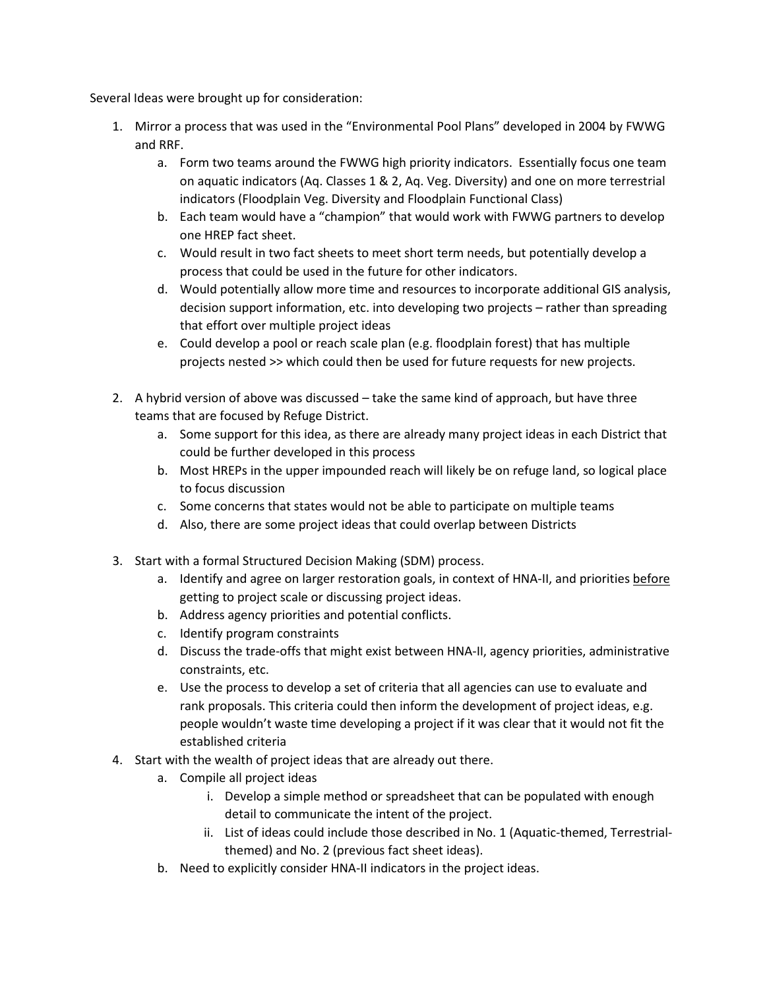Several Ideas were brought up for consideration:

- 1. Mirror a process that was used in the "Environmental Pool Plans" developed in 2004 by FWWG and RRF.
	- a. Form two teams around the FWWG high priority indicators. Essentially focus one team on aquatic indicators (Aq. Classes 1 & 2, Aq. Veg. Diversity) and one on more terrestrial indicators (Floodplain Veg. Diversity and Floodplain Functional Class)
	- b. Each team would have a "champion" that would work with FWWG partners to develop one HREP fact sheet.
	- c. Would result in two fact sheets to meet short term needs, but potentially develop a process that could be used in the future for other indicators.
	- d. Would potentially allow more time and resources to incorporate additional GIS analysis, decision support information, etc. into developing two projects – rather than spreading that effort over multiple project ideas
	- e. Could develop a pool or reach scale plan (e.g. floodplain forest) that has multiple projects nested >> which could then be used for future requests for new projects.
- 2. A hybrid version of above was discussed take the same kind of approach, but have three teams that are focused by Refuge District.
	- a. Some support for this idea, as there are already many project ideas in each District that could be further developed in this process
	- b. Most HREPs in the upper impounded reach will likely be on refuge land, so logical place to focus discussion
	- c. Some concerns that states would not be able to participate on multiple teams
	- d. Also, there are some project ideas that could overlap between Districts
- 3. Start with a formal Structured Decision Making (SDM) process.
	- a. Identify and agree on larger restoration goals, in context of HNA-II, and priorities before getting to project scale or discussing project ideas.
	- b. Address agency priorities and potential conflicts.
	- c. Identify program constraints
	- d. Discuss the trade-offs that might exist between HNA-II, agency priorities, administrative constraints, etc.
	- e. Use the process to develop a set of criteria that all agencies can use to evaluate and rank proposals. This criteria could then inform the development of project ideas, e.g. people wouldn't waste time developing a project if it was clear that it would not fit the established criteria
- 4. Start with the wealth of project ideas that are already out there.
	- a. Compile all project ideas
		- i. Develop a simple method or spreadsheet that can be populated with enough detail to communicate the intent of the project.
		- ii. List of ideas could include those described in No. 1 (Aquatic-themed, Terrestrialthemed) and No. 2 (previous fact sheet ideas).
	- b. Need to explicitly consider HNA-II indicators in the project ideas.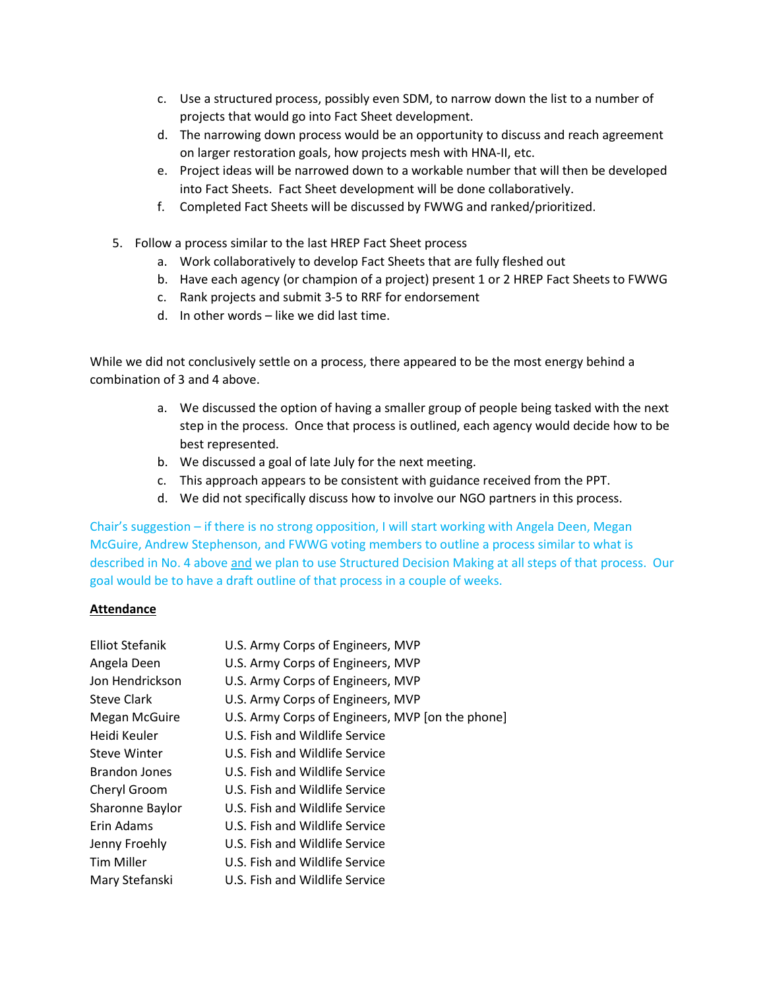- c. Use a structured process, possibly even SDM, to narrow down the list to a number of projects that would go into Fact Sheet development.
- d. The narrowing down process would be an opportunity to discuss and reach agreement on larger restoration goals, how projects mesh with HNA-II, etc.
- e. Project ideas will be narrowed down to a workable number that will then be developed into Fact Sheets. Fact Sheet development will be done collaboratively.
- f. Completed Fact Sheets will be discussed by FWWG and ranked/prioritized.
- 5. Follow a process similar to the last HREP Fact Sheet process
	- a. Work collaboratively to develop Fact Sheets that are fully fleshed out
	- b. Have each agency (or champion of a project) present 1 or 2 HREP Fact Sheets to FWWG
	- c. Rank projects and submit 3-5 to RRF for endorsement
	- d. In other words like we did last time.

While we did not conclusively settle on a process, there appeared to be the most energy behind a combination of 3 and 4 above.

- a. We discussed the option of having a smaller group of people being tasked with the next step in the process. Once that process is outlined, each agency would decide how to be best represented.
- b. We discussed a goal of late July for the next meeting.
- c. This approach appears to be consistent with guidance received from the PPT.
- d. We did not specifically discuss how to involve our NGO partners in this process.

Chair's suggestion – if there is no strong opposition, I will start working with Angela Deen, Megan McGuire, Andrew Stephenson, and FWWG voting members to outline a process similar to what is described in No. 4 above and we plan to use Structured Decision Making at all steps of that process. Our goal would be to have a draft outline of that process in a couple of weeks.

#### **Attendance**

| <b>Elliot Stefanik</b> | U.S. Army Corps of Engineers, MVP                |
|------------------------|--------------------------------------------------|
| Angela Deen            | U.S. Army Corps of Engineers, MVP                |
| Jon Hendrickson        | U.S. Army Corps of Engineers, MVP                |
| <b>Steve Clark</b>     | U.S. Army Corps of Engineers, MVP                |
| Megan McGuire          | U.S. Army Corps of Engineers, MVP [on the phone] |
| Heidi Keuler           | U.S. Fish and Wildlife Service                   |
| Steve Winter           | U.S. Fish and Wildlife Service                   |
| <b>Brandon Jones</b>   | U.S. Fish and Wildlife Service                   |
| Cheryl Groom           | U.S. Fish and Wildlife Service                   |
| Sharonne Baylor        | U.S. Fish and Wildlife Service                   |
| Erin Adams             | U.S. Fish and Wildlife Service                   |
| Jenny Froehly          | U.S. Fish and Wildlife Service                   |
| <b>Tim Miller</b>      | U.S. Fish and Wildlife Service                   |
| Mary Stefanski         | U.S. Fish and Wildlife Service                   |